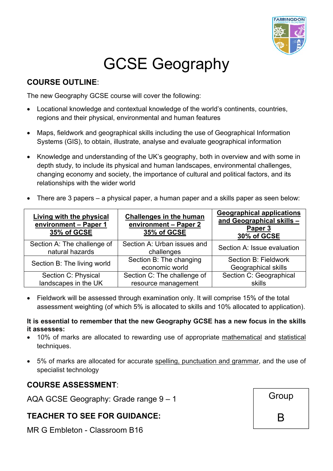

# GCSE Geography

#### **COURSE OUTLINE**:

The new Geography GCSE course will cover the following:

- Locational knowledge and contextual knowledge of the world's continents, countries, regions and their physical, environmental and human features
- Maps, fieldwork and geographical skills including the use of Geographical Information Systems (GIS), to obtain, illustrate, analyse and evaluate geographical information
- Knowledge and understanding of the UK's geography, both in overview and with some in depth study, to include its physical and human landscapes, environmental challenges, changing economy and society, the importance of cultural and political factors, and its relationships with the wider world
- There are 3 papers a physical paper, a human paper and a skills paper as seen below:

| <b>Living with the physical</b><br>environment - Paper 1<br>35% of GCSE | <b>Challenges in the human</b><br>environment - Paper 2<br>35% of GCSE | <b>Geographical applications</b><br>and Geographical skills -<br>Paper 3<br>30% of GCSE |
|-------------------------------------------------------------------------|------------------------------------------------------------------------|-----------------------------------------------------------------------------------------|
| Section A: The challenge of<br>natural hazards                          | Section A: Urban issues and<br>challenges                              | Section A: Issue evaluation                                                             |
| Section B: The living world                                             | Section B: The changing<br>economic world                              | Section B: Fieldwork<br>Geographical skills                                             |
| Section C: Physical                                                     | Section C: The challenge of                                            | Section C: Geographical                                                                 |
| landscapes in the UK                                                    | resource management                                                    | skills                                                                                  |

 Fieldwork will be assessed through examination only. It will comprise 15% of the total assessment weighting (of which 5% is allocated to skills and 10% allocated to application).

#### **It is essential to remember that the new Geography GCSE has a new focus in the skills it assesses:**

- 10% of marks are allocated to rewarding use of appropriate mathematical and statistical techniques.
- 5% of marks are allocated for accurate spelling, punctuation and grammar, and the use of specialist technology

### **COURSE ASSESSMENT**:

AQA GCSE Geography: Grade range 9 – 1

### **TEACHER TO SEE FOR GUIDANCE:**

MR G Embleton - Classroom B16